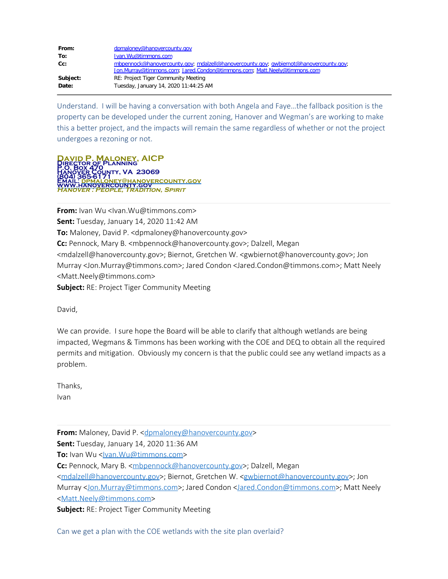| From:    | dpmaloney@hanovercounty.gov                                                           |
|----------|---------------------------------------------------------------------------------------|
| To:      | Ivan.Wu@timmons.com                                                                   |
| Cc:      | mbpennock@hanovercounty.gov; mdalzell@hanovercounty.gov; gwbiernot@hanovercounty.gov; |
|          | Jon.Murray@timmons.com; Jared.Condon@timmons.com; Matt.Neely@timmons.com              |
| Subject: | RE: Project Tiger Community Meeting                                                   |
| Date:    | Tuesday, January 14, 2020 11:44:25 AM                                                 |

Understand. I will be having a conversation with both Angela and Faye…the fallback position is the property can be developed under the current zoning, Hanover and Wegman's are working to make this a better project, and the impacts will remain the same regardless of whether or not the project undergoes a rezoning or not.

**ONEY, AICP Director of Planning P.O. Box 470 Hanover County, VA 23069 (804) 365-6171 Email: [dpmaloney@hanovercounty.gov](mailto:dpmaloney@hanovercounty.gov) [www.hanovercounty.gov](http://www.hanovercounty.gov/) Hanover : People, Tradition, Spirit**

**From:** Ivan Wu <Ivan.Wu@timmons.com> **Sent:** Tuesday, January 14, 2020 11:42 AM **To:** Maloney, David P. <dpmaloney@hanovercounty.gov> **Cc:** Pennock, Mary B. <mbpennock@hanovercounty.gov>; Dalzell, Megan <mdalzell@hanovercounty.gov>; Biernot, Gretchen W. <gwbiernot@hanovercounty.gov>; Jon Murray <Jon.Murray@timmons.com>; Jared Condon <Jared.Condon@timmons.com>; Matt Neely <Matt.Neely@timmons.com> **Subject:** RE: Project Tiger Community Meeting

David,

We can provide. I sure hope the Board will be able to clarify that although wetlands are being impacted, Wegmans & Timmons has been working with the COE and DEQ to obtain all the required permits and mitigation. Obviously my concern is that the public could see any wetland impacts as a problem.

Thanks, Ivan

**From:** Maloney, David P. < dpmaloney@hanovercounty.gov>

**Sent:** Tuesday, January 14, 2020 11:36 AM

**To:** Ivan Wu <**Ivan.Wu@timmons.com>** 

**Cc:** Pennock, Mary B. [<mbpennock@hanovercounty.gov](mailto:mbpennock@hanovercounty.gov)>; Dalzell, Megan

[<mdalzell@hanovercounty.gov](mailto:mdalzell@hanovercounty.gov)>; Biernot, Gretchen W. < gwbiernot@hanovercounty.gov>; Jon

Murray [<Jon.Murray@timmons.com](mailto:Jon.Murray@timmons.com)>; Jared Condon [<Jared.Condon@timmons.com](mailto:Jared.Condon@timmons.com)>; Matt Neely [<Matt.Neely@timmons.com](mailto:Matt.Neely@timmons.com)>

**Subject:** RE: Project Tiger Community Meeting

Can we get a plan with the COE wetlands with the site plan overlaid?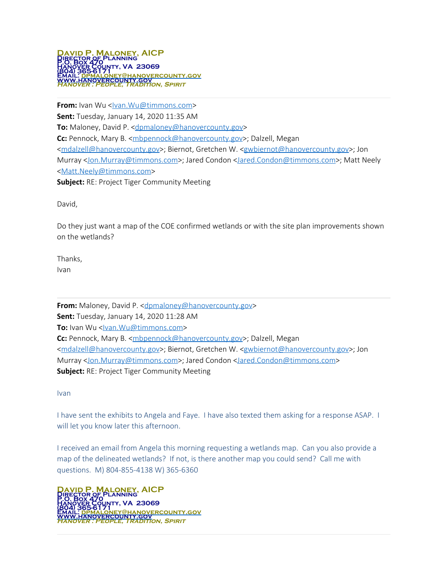

**From:** Ivan Wu <<u>Ivan.Wu@timmons.com</u>> **Sent:** Tuesday, January 14, 2020 11:35 AM **To:** Maloney, David P. < [dpmaloney@hanovercounty.gov](mailto:dpmaloney@hanovercounty.gov)> **Cc:** Pennock, Mary B. [<mbpennock@hanovercounty.gov](mailto:mbpennock@hanovercounty.gov)>; Dalzell, Megan [<mdalzell@hanovercounty.gov](mailto:mdalzell@hanovercounty.gov)>; Biernot, Gretchen W. [<gwbiernot@hanovercounty.gov](mailto:gwbiernot@hanovercounty.gov)>; Jon Murray [<Jon.Murray@timmons.com](mailto:Jon.Murray@timmons.com)>; Jared Condon [<Jared.Condon@timmons.com](mailto:Jared.Condon@timmons.com)>; Matt Neely [<Matt.Neely@timmons.com](mailto:Matt.Neely@timmons.com)> **Subject:** RE: Project Tiger Community Meeting

David,

Do they just want a map of the COE confirmed wetlands or with the site plan improvements shown on the wetlands?

Thanks, Ivan

**From:** Maloney, David P. < dpmaloney@hanovercounty.gov> **Sent:** Tuesday, January 14, 2020 11:28 AM **To:** Ivan Wu <**Ivan.Wu@timmons.com> Cc:** Pennock, Mary B. [<mbpennock@hanovercounty.gov](mailto:mbpennock@hanovercounty.gov)>; Dalzell, Megan [<mdalzell@hanovercounty.gov](mailto:mdalzell@hanovercounty.gov)>; Biernot, Gretchen W. < gwbiernot@hanovercounty.gov>; Jon Murray [<Jon.Murray@timmons.com](mailto:Jon.Murray@timmons.com)>; Jared Condon [<Jared.Condon@timmons.com](mailto:Jared.Condon@timmons.com)> **Subject:** RE: Project Tiger Community Meeting

Ivan

I have sent the exhibits to Angela and Faye. I have also texted them asking for a response ASAP. I will let you know later this afternoon.

I received an email from Angela this morning requesting a wetlands map. Can you also provide a map of the delineated wetlands? If not, is there another map you could send? Call me with questions. M) 804-855-4138 W) 365-6360

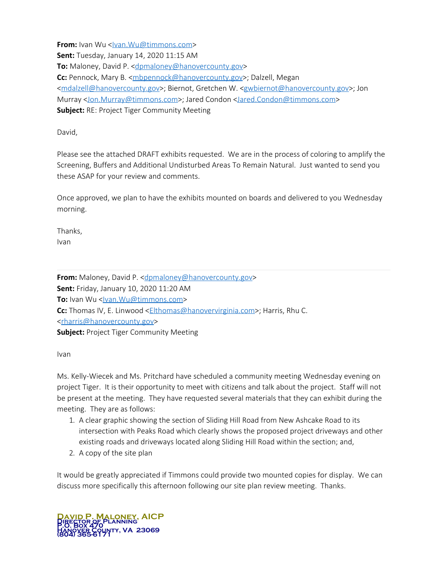**From:** Ivan Wu <<u>Ivan.Wu@timmons.com</u>> **Sent:** Tuesday, January 14, 2020 11:15 AM **To:** Maloney, David P. < [dpmaloney@hanovercounty.gov](mailto:dpmaloney@hanovercounty.gov)> **Cc:** Pennock, Mary B. [<mbpennock@hanovercounty.gov](mailto:mbpennock@hanovercounty.gov)>; Dalzell, Megan [<mdalzell@hanovercounty.gov](mailto:mdalzell@hanovercounty.gov)>; Biernot, Gretchen W. [<gwbiernot@hanovercounty.gov](mailto:gwbiernot@hanovercounty.gov)>; Jon Murray [<Jon.Murray@timmons.com](mailto:Jon.Murray@timmons.com)>; Jared Condon [<Jared.Condon@timmons.com](mailto:Jared.Condon@timmons.com)> **Subject:** RE: Project Tiger Community Meeting

David,

Please see the attached DRAFT exhibits requested. We are in the process of coloring to amplify the Screening, Buffers and Additional Undisturbed Areas To Remain Natural. Just wanted to send you these ASAP for your review and comments.

Once approved, we plan to have the exhibits mounted on boards and delivered to you Wednesday morning.

Thanks, Ivan

**From:** Maloney, David P. < dpmaloney@hanovercounty.gov> **Sent:** Friday, January 10, 2020 11:20 AM **To:** Ivan Wu <<u>Ivan.Wu@timmons.com</u>> **Cc:** Thomas IV, E. Linwood [<Elthomas@hanovervirginia.com](mailto:Elthomas@hanovervirginia.com)>; Harris, Rhu C. [<rharris@hanovercounty.gov](mailto:rharris@hanovercounty.gov)> **Subject:** Project Tiger Community Meeting

Ivan

Ms. Kelly-Wiecek and Ms. Pritchard have scheduled a community meeting Wednesday evening on project Tiger. It is their opportunity to meet with citizens and talk about the project. Staff will not be present at the meeting. They have requested several materials that they can exhibit during the meeting. They are as follows:

- 1. A clear graphic showing the section of Sliding Hill Road from New Ashcake Road to its intersection with Peaks Road which clearly shows the proposed project driveways and other existing roads and driveways located along Sliding Hill Road within the section; and,
- 2. A copy of the site plan

It would be greatly appreciated if Timmons could provide two mounted copies for display. We can discuss more specifically this afternoon following our site plan review meeting. Thanks.